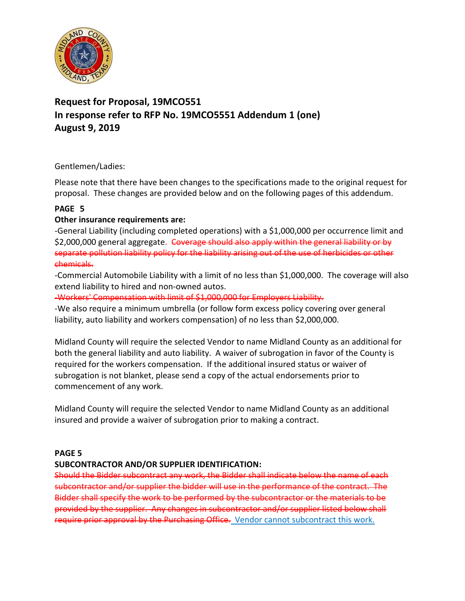

# **Request for Proposal, 19MCO551 In response refer to RFP No. 19MCO5551 Addendum 1 (one) August 9, 2019**

## Gentlemen/Ladies:

Please note that there have been changes to the specifications made to the original request for proposal. These changes are provided below and on the following pages of this addendum.

## **PAGE 5**

## **Other insurance requirements are:**

-General Liability (including completed operations) with a \$1,000,000 per occurrence limit and \$2,000,000 general aggregate. Goverage should also apply within the general liability or by separate pollution liability policy for the liability arising out of the use of herbicides or other chemicals.

-Commercial Automobile Liability with a limit of no less than \$1,000,000. The coverage will also extend liability to hired and non-owned autos.

-Workers' Compensation with limit of \$1,000,000 for Employers Liability.

-We also require a minimum umbrella (or follow form excess policy covering over general liability, auto liability and workers compensation) of no less than \$2,000,000.

Midland County will require the selected Vendor to name Midland County as an additional for both the general liability and auto liability. A waiver of subrogation in favor of the County is required for the workers compensation. If the additional insured status or waiver of subrogation is not blanket, please send a copy of the actual endorsements prior to commencement of any work.

Midland County will require the selected Vendor to name Midland County as an additional insured and provide a waiver of subrogation prior to making a contract.

## **PAGE 5**

## **SUBCONTRACTOR AND/OR SUPPLIER IDENTIFICATION:**

Should the Bidder subcontract any work, the Bidder shall indicate below the name of each subcontractor and/or supplier the bidder will use in the performance of the contract. The Bidder shall specify the work to be performed by the subcontractor or the materials to be provided by the supplier. Any changes in subcontractor and/or supplier listed below shall require prior approval by the Purchasing Office. Vendor cannot subcontract this work.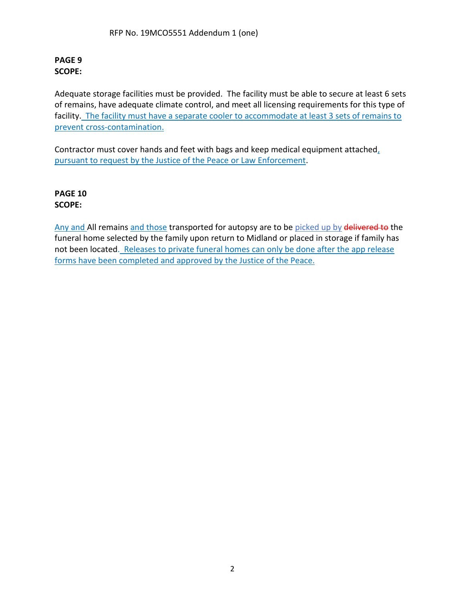### **PAGE 9 SCOPE:**

Adequate storage facilities must be provided. The facility must be able to secure at least 6 sets of remains, have adequate climate control, and meet all licensing requirements for this type of facility. The facility must have a separate cooler to accommodate at least 3 sets of remains to prevent cross-contamination.

Contractor must cover hands and feet with bags and keep medical equipment attached, pursuant to request by the Justice of the Peace or Law Enforcement.

**PAGE 10 SCOPE:**

Any and All remains and those transported for autopsy are to be picked up by delivered to the funeral home selected by the family upon return to Midland or placed in storage if family has not been located. Releases to private funeral homes can only be done after the app release forms have been completed and approved by the Justice of the Peace.